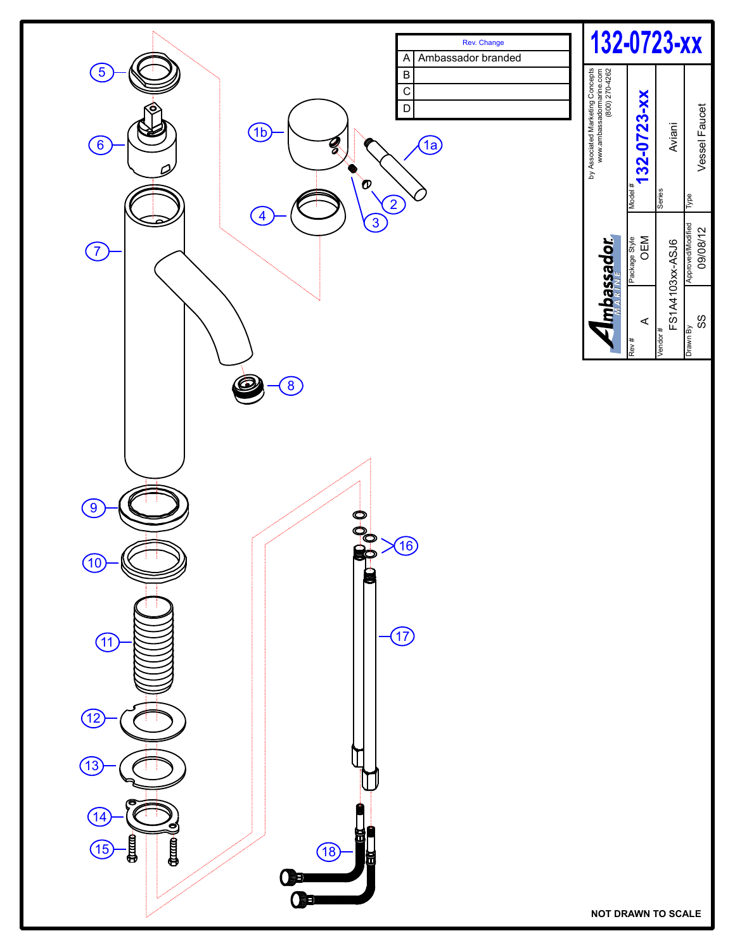